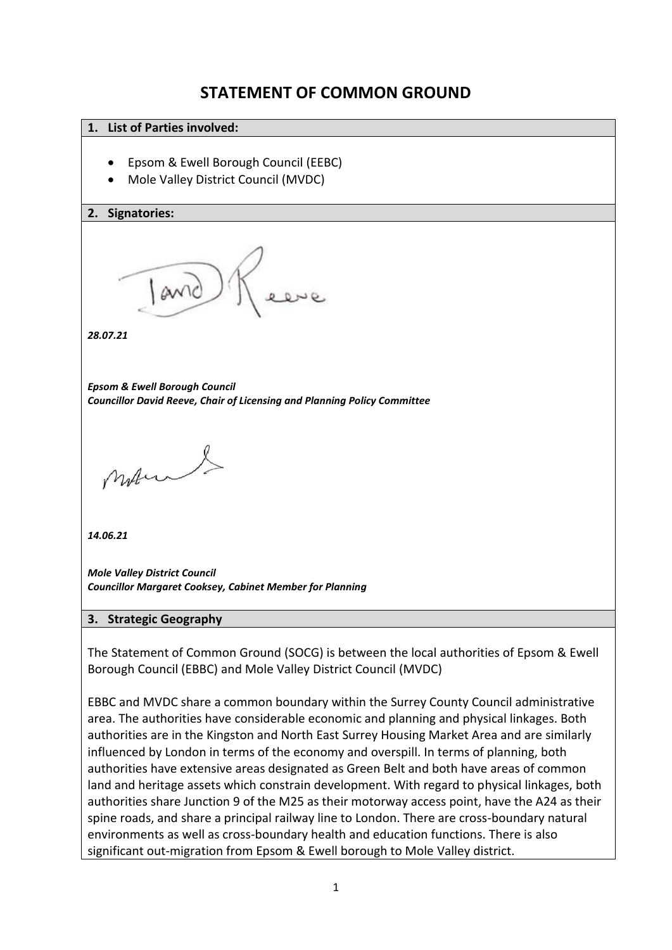# **STATEMENT OF COMMON GROUND**

#### **1. List of Parties involved:**

- Epsom & Ewell Borough Council (EEBC)
- Mole Valley District Council (MVDC)

#### **2. Signatories:**



*28.07.21*

*Epsom & Ewell Borough Council Councillor David Reeve, Chair of Licensing and Planning Policy Committee*

mon &

*14.06.21*

*Mole Valley District Council Councillor Margaret Cooksey, Cabinet Member for Planning*

#### **3. Strategic Geography**

The Statement of Common Ground (SOCG) is between the local authorities of Epsom & Ewell Borough Council (EBBC) and Mole Valley District Council (MVDC)

EBBC and MVDC share a common boundary within the Surrey County Council administrative area. The authorities have considerable economic and planning and physical linkages. Both authorities are in the Kingston and North East Surrey Housing Market Area and are similarly influenced by London in terms of the economy and overspill. In terms of planning, both authorities have extensive areas designated as Green Belt and both have areas of common land and heritage assets which constrain development. With regard to physical linkages, both authorities share Junction 9 of the M25 as their motorway access point, have the A24 as their spine roads, and share a principal railway line to London. There are cross-boundary natural environments as well as cross-boundary health and education functions. There is also significant out-migration from Epsom & Ewell borough to Mole Valley district.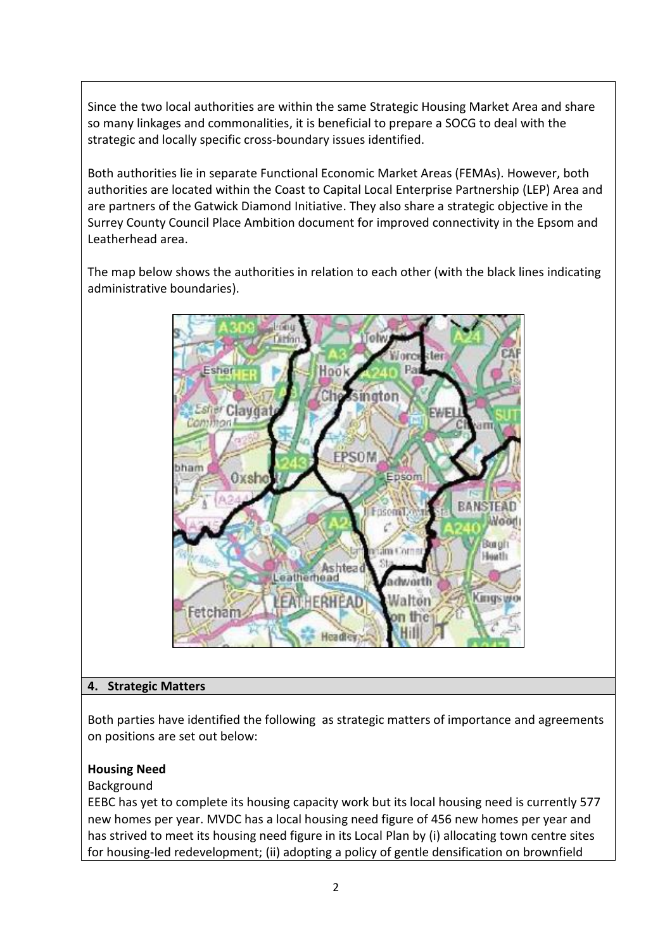Since the two local authorities are within the same Strategic Housing Market Area and share so many linkages and commonalities, it is beneficial to prepare a SOCG to deal with the strategic and locally specific cross-boundary issues identified.

Both authorities lie in separate Functional Economic Market Areas (FEMAs). However, both authorities are located within the Coast to Capital Local Enterprise Partnership (LEP) Area and are partners of the Gatwick Diamond Initiative. They also share a strategic objective in the Surrey County Council Place Ambition document for improved connectivity in the Epsom and Leatherhead area.

The map below shows the authorities in relation to each other (with the black lines indicating administrative boundaries).



#### **4. Strategic Matters**

Both parties have identified the following as strategic matters of importance and agreements on positions are set out below:

#### **Housing Need**

Background

EEBC has yet to complete its housing capacity work but its local housing need is currently 577 new homes per year. MVDC has a local housing need figure of 456 new homes per year and has strived to meet its housing need figure in its Local Plan by (i) allocating town centre sites for housing-led redevelopment; (ii) adopting a policy of gentle densification on brownfield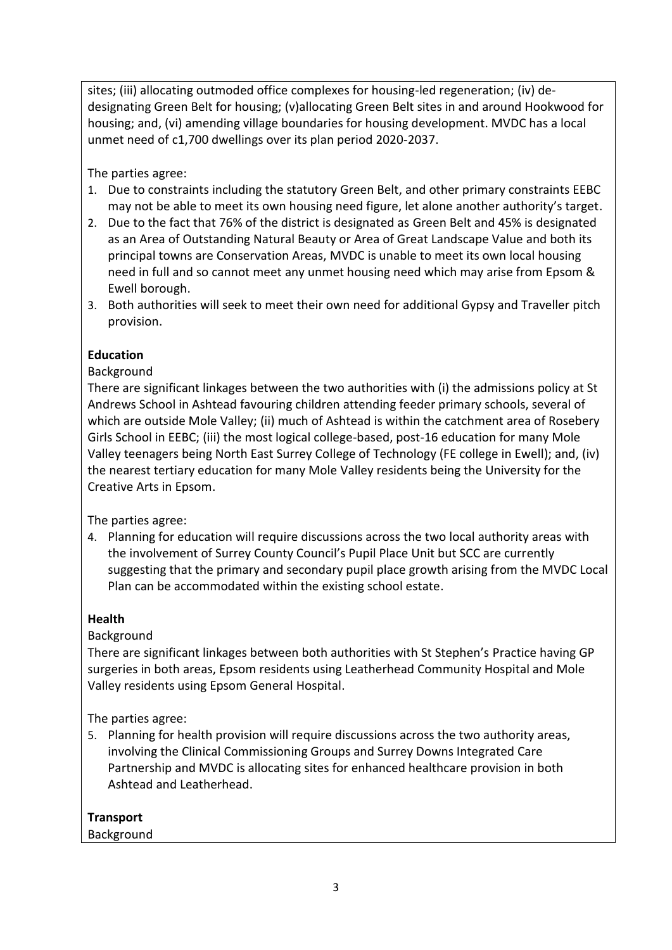sites; (iii) allocating outmoded office complexes for housing-led regeneration; (iv) dedesignating Green Belt for housing; (v)allocating Green Belt sites in and around Hookwood for housing; and, (vi) amending village boundaries for housing development. MVDC has a local unmet need of c1,700 dwellings over its plan period 2020-2037.

The parties agree:

- 1. Due to constraints including the statutory Green Belt, and other primary constraints EEBC may not be able to meet its own housing need figure, let alone another authority's target.
- 2. Due to the fact that 76% of the district is designated as Green Belt and 45% is designated as an Area of Outstanding Natural Beauty or Area of Great Landscape Value and both its principal towns are Conservation Areas, MVDC is unable to meet its own local housing need in full and so cannot meet any unmet housing need which may arise from Epsom & Ewell borough.
- 3. Both authorities will seek to meet their own need for additional Gypsy and Traveller pitch provision.

# **Education**

# Background

There are significant linkages between the two authorities with (i) the admissions policy at St Andrews School in Ashtead favouring children attending feeder primary schools, several of which are outside Mole Valley; (ii) much of Ashtead is within the catchment area of Rosebery Girls School in EEBC; (iii) the most logical college-based, post-16 education for many Mole Valley teenagers being North East Surrey College of Technology (FE college in Ewell); and, (iv) the nearest tertiary education for many Mole Valley residents being the University for the Creative Arts in Epsom.

The parties agree:

4. Planning for education will require discussions across the two local authority areas with the involvement of Surrey County Council's Pupil Place Unit but SCC are currently suggesting that the primary and secondary pupil place growth arising from the MVDC Local Plan can be accommodated within the existing school estate.

### **Health**

# Background

There are significant linkages between both authorities with St Stephen's Practice having GP surgeries in both areas, Epsom residents using Leatherhead Community Hospital and Mole Valley residents using Epsom General Hospital.

The parties agree:

5. Planning for health provision will require discussions across the two authority areas, involving the Clinical Commissioning Groups and Surrey Downs Integrated Care Partnership and MVDC is allocating sites for enhanced healthcare provision in both Ashtead and Leatherhead.

### **Transport**

### Background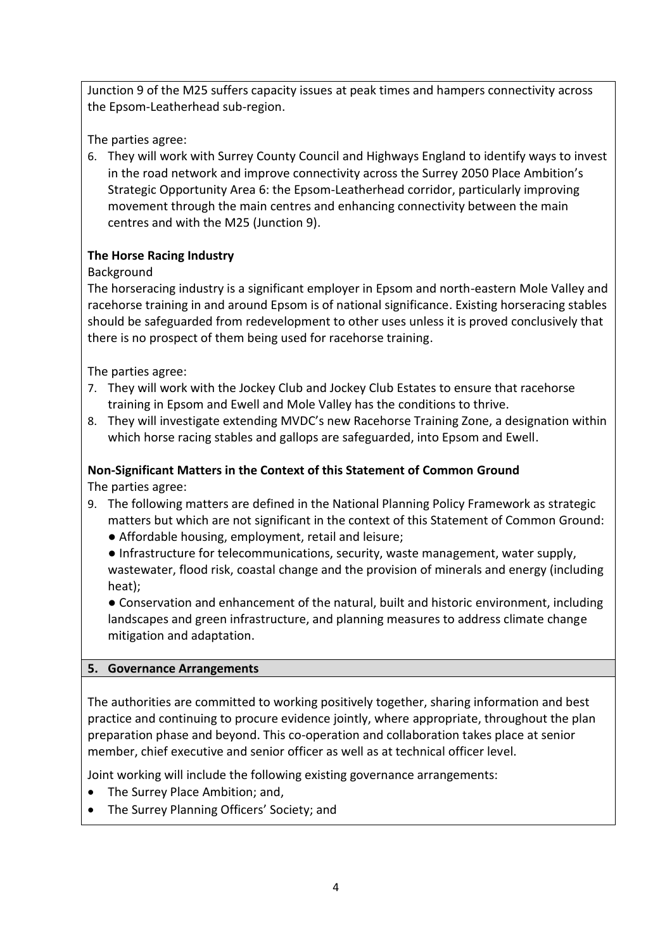Junction 9 of the M25 suffers capacity issues at peak times and hampers connectivity across the Epsom-Leatherhead sub-region.

The parties agree:

6. They will work with Surrey County Council and Highways England to identify ways to invest in the road network and improve connectivity across the Surrey 2050 Place Ambition's Strategic Opportunity Area 6: the Epsom-Leatherhead corridor, particularly improving movement through the main centres and enhancing connectivity between the main centres and with the M25 (Junction 9).

# **The Horse Racing Industry**

# Background

The horseracing industry is a significant employer in Epsom and north-eastern Mole Valley and racehorse training in and around Epsom is of national significance. Existing horseracing stables should be safeguarded from redevelopment to other uses unless it is proved conclusively that there is no prospect of them being used for racehorse training.

The parties agree:

- 7. They will work with the Jockey Club and Jockey Club Estates to ensure that racehorse training in Epsom and Ewell and Mole Valley has the conditions to thrive.
- 8. They will investigate extending MVDC's new Racehorse Training Zone, a designation within which horse racing stables and gallops are safeguarded, into Epsom and Ewell.

### **Non-Significant Matters in the Context of this Statement of Common Ground**

The parties agree:

- 9. The following matters are defined in the National Planning Policy Framework as strategic matters but which are not significant in the context of this Statement of Common Ground:
	- Affordable housing, employment, retail and leisure;
	- Infrastructure for telecommunications, security, waste management, water supply, wastewater, flood risk, coastal change and the provision of minerals and energy (including heat);

● Conservation and enhancement of the natural, built and historic environment, including landscapes and green infrastructure, and planning measures to address climate change mitigation and adaptation.

### **5. Governance Arrangements**

The authorities are committed to working positively together, sharing information and best practice and continuing to procure evidence jointly, where appropriate, throughout the plan preparation phase and beyond. This co-operation and collaboration takes place at senior member, chief executive and senior officer as well as at technical officer level.

Joint working will include the following existing governance arrangements:

- The Surrey Place Ambition; and,
- The Surrey Planning Officers' Society; and